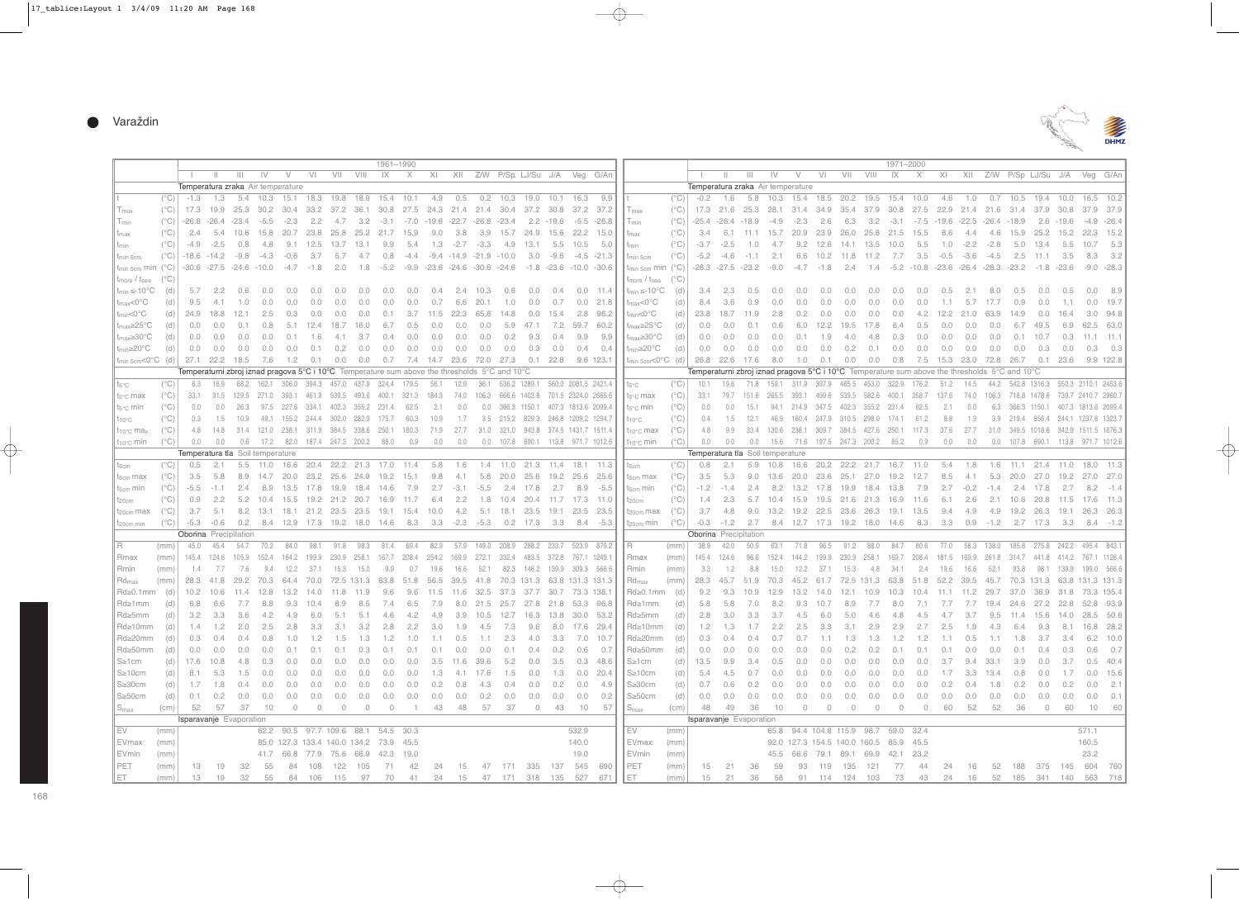

|                                                                                                        | 1961-1990                        |                                                                                               |               |                         |                                               |         |               |                                                                                                             |        |                                                                  |               |                                       |               |                 |                                  |               |                                                |                                      |                                                                                |                                                              |               |                                   |               |                         | 1971-2000                            |               |                                    |       |        |                |                                                                                                    |                    |                |            |      |                                      |                    |                 |
|--------------------------------------------------------------------------------------------------------|----------------------------------|-----------------------------------------------------------------------------------------------|---------------|-------------------------|-----------------------------------------------|---------|---------------|-------------------------------------------------------------------------------------------------------------|--------|------------------------------------------------------------------|---------------|---------------------------------------|---------------|-----------------|----------------------------------|---------------|------------------------------------------------|--------------------------------------|--------------------------------------------------------------------------------|--------------------------------------------------------------|---------------|-----------------------------------|---------------|-------------------------|--------------------------------------|---------------|------------------------------------|-------|--------|----------------|----------------------------------------------------------------------------------------------------|--------------------|----------------|------------|------|--------------------------------------|--------------------|-----------------|
|                                                                                                        |                                  |                                                                                               |               | $\mathbf{H}$            | IV                                            | $\vee$  | VI            | VII                                                                                                         | VIII   | IX                                                               | $\times$      | XI                                    |               |                 |                                  |               | XII Z/W P/Sp LJ/Su J/A Veg G/An                |                                      |                                                                                |                                                              |               |                                   | $\mathbb{H}$  | $\mathbf{H}$            | IV                                   | V             | V <sub>1</sub>                     | VII   | VIII   | IX             | $\times$                                                                                           | X                  |                |            |      | XII Z/W P/Sp LJ/Su J/A Veg           |                    |                 |
|                                                                                                        |                                  | Temperatura zraka Air temperature                                                             |               |                         |                                               |         |               |                                                                                                             |        |                                                                  |               |                                       |               |                 |                                  |               |                                                |                                      |                                                                                |                                                              |               | Temperatura zraka Air temperature |               |                         |                                      |               |                                    |       |        |                |                                                                                                    |                    |                |            |      |                                      |                    |                 |
|                                                                                                        | $(^{\circ}C)$                    | $-1.3$                                                                                        |               |                         |                                               |         |               | 1.3 5.4 10.3 15.1 18.3 19.8 18.9 15.4 10.1                                                                  |        |                                                                  |               | 4.9                                   | 0.5           |                 | $0.2$ 10.3                       | 19.0          | 10.1 16.3                                      |                                      | 9.9                                                                            | ll t                                                         | $(^{\circ}C)$ | -0.2                              | 1.6           |                         |                                      |               |                                    |       |        |                | 5.8 10.3 15.4 18.5 20.2 19.5 15.4 10.0                                                             | 4.6                | 1.0            |            |      | 0.7 10.5 19.4 10.0 16.5              |                    |                 |
| $T_{\text{max}}$                                                                                       | $(^{\circ}C)$                    |                                                                                               |               |                         |                                               |         |               | 17.3 19.9 25.3 30.2 30.4 33.2 37.2 36.1 30.8 27.5 24.3 21.4 21.4 30.4 37.2 30.8 37.2 37.2                   |        |                                                                  |               |                                       |               |                 |                                  |               |                                                |                                      |                                                                                | $T_{\text{max}}$                                             | $(^{\circ}C)$ |                                   |               |                         |                                      |               |                                    |       |        |                | 17.3 21.6 25.3 28.1 31.4 34.9 35.4 37.9 30.8 27.5 22.9 21.4 21.6 31.4 37.9 30.8 37.9               |                    |                |            |      |                                      |                    |                 |
| $T_{min}$                                                                                              | $(^{\circ}C)$                    |                                                                                               |               | $-26.8$ $-26.4$ $-23.4$ | -5.5                                          | -2.3    | 2.2           | 4.7                                                                                                         |        | $3.2 -3.1 -7.0 -19.6 -22.7 -26.8 -23.4$                          |               |                                       |               |                 |                                  |               | $2.2 - 19.6 - 5.5 - 26.8$                      |                                      |                                                                                | $T_{min}$                                                    | $(^{\circ}C)$ |                                   |               | $-25.4$ $-26.4$ $-18.9$ | -4.9                                 | -2.3          | 2.6                                | 6.3   |        |                | $3.2 -3.1 -7.5 -19.6 -22.5 -26.4 -18.9$                                                            |                    |                |            |      |                                      | $2.6 - 19.6 - 4.9$ |                 |
| $t_{\text{max}}$                                                                                       | $(^{\circ}C)$                    | 2.4                                                                                           | 5.4           | 10.6                    |                                               |         |               | 15.8 20.7 23.8 25.8 25.2 21.7 15.9                                                                          |        |                                                                  |               | 9.0                                   | 3.8           |                 | 3.9 15.7 24.9                    |               |                                                |                                      | 15.6 22.2 15.0                                                                 | $\ $ t <sub>max</sub>                                        | $(^{\circ}C)$ | 3.4                               |               | 6.1 11.1 15.7           |                                      |               | 20.9 23.9                          | 26.0  |        |                | 25.8 21.5 15.5                                                                                     | 8.6                | -4.4           | 4.6        |      | 15.9 25.2 15.2 22.3                  |                    |                 |
| t <sub>min</sub>                                                                                       | $(^{\circ}C)$                    | -4.9                                                                                          | $-2.5$        | 0.8                     | 4.8                                           |         |               | 9.1 12.5 13.7 13.1                                                                                          |        | 9.9                                                              | 5.4           |                                       |               | $1.3 -2.7 -3.3$ | 4.9                              | 13.1          | 5.5                                            | 10.5                                 | 5.0                                                                            | $\ $ t <sub>min</sub>                                        | $(^{\circ}C)$ | -3.7                              | $-2.5$        | 1.0                     | 4.7                                  |               | $9.2$ 12.6                         |       |        | 14.1 13.5 10.0 | 5.5                                                                                                | 1.0                | $-2.2$         | -2.8       | 5.0  | 13.4                                 |                    | 5.5 10.7        |
| t <sub>min</sub> 5cm                                                                                   | $(^{\circ}C)$                    |                                                                                               |               | $-18.6$ $-14.2$ $-9.8$  | -4.3                                          | -0.6    | - 3.7         | 5.7                                                                                                         | 4.7    | 0.8                                                              |               | $-4.4$ $-9.4$ $-14.9$ $-21.9$ $-10.0$ |               |                 |                                  | - 3.0         |                                                |                                      | $-9.6$ $-4.5$ $-21.3$                                                          | $\parallel$ t <sub>min</sub> 5cm                             | $(^{\circ}C)$ |                                   |               | $-5.2 -4.6 -1.1$        | 2.1                                  |               | 6.6 10.2 11.8 11.2                 |       |        | 7.7            | 3.5                                                                                                |                    | $-0.5 -3.6$    | -4.5       | 2.5  | 11.1                                 |                    | $3.5\qquad 8.3$ |
| $t_{\text{min 5cm}}$ min (°C)                                                                          |                                  |                                                                                               |               |                         | $-30.6$ $-27.5$ $-24.6$ $-10.0$ $-4.7$ $-1.8$ |         |               |                                                                                                             |        | 2.0 1.8 -5.2 -9.9 -23.6 -24.6 -30.6 -24.6 -1.8 -23.6 -10.0 -30.6 |               |                                       |               |                 |                                  |               |                                                |                                      |                                                                                | $ \tan 5$ cm min (°C)   -28.3 -27.5 -23.2 -9.0 -4.7 -1.8 2.4 |               |                                   |               |                         |                                      |               |                                    |       |        |                | $1.4$ $-5.2$ $-10.8$ $-23.6$ $-26.4$ $-28.3$ $-23.2$                                               |                    |                |            |      | -1.8 -23.6 -9.0                      |                    |                 |
| $t_{\text{more}}$ / $t_{\text{sea}}$                                                                   | $(^{\circ}C)$                    |                                                                                               |               |                         |                                               |         |               |                                                                                                             |        |                                                                  |               |                                       |               |                 |                                  |               |                                                |                                      |                                                                                | $\vert$ t <sub>more</sub> / t <sub>sea</sub> (°C)            |               |                                   |               |                         |                                      |               |                                    |       |        |                |                                                                                                    |                    |                |            |      |                                      |                    |                 |
| $t_{min} \leq 10^{\circ}C$                                                                             | (d)                              | 5.7                                                                                           | 2.2           | 0.6                     | 0.0                                           | 0.0     | $0.0^{\circ}$ | 0.0                                                                                                         | 0.0    | 0.0                                                              | 0.0           | 0.4                                   |               | 2.4 10.3        | 0.6                              | 0.0           | 0.4                                            |                                      | $0.0$ 11.4                                                                     | $\parallel$ t <sub>min</sub> $\leq$ -10°C                    | (d)           | 3.4                               | 2.3           | 0.5                     | 0.0                                  | 0.0           | 0.0                                | 0.0   | 0.0    | 0.0            | $0.0^{\circ}$                                                                                      | 0.5                | $-2.1$         | 8.0        | 0.5  | 0.0                                  |                    | $0.5 \t 0.0$    |
|                                                                                                        |                                  | 9.5                                                                                           | 4.1           | 1.0                     | 0.0                                           | 0.0     | 0.0           | 0.0                                                                                                         | 0.0    | 0.0                                                              | 0.0           | 0.7                                   |               | 6.6 20.1        |                                  | $1.0 \t 0.0$  | 0.7                                            |                                      | $0.0$ 21.8                                                                     | $t_{max}$ <0 $^{\circ}$ C                                    |               | 8.4                               | 3.6           |                         | 0.0                                  | 0.0           | 0.0                                | 0.0   | 0.0    | 0.0            | 0.0                                                                                                |                    | $1.1$ 5.7 17.7 |            |      | 0.0                                  |                    | $1.1 \t 0.0$    |
| $t_{max}$ <0 $^{\circ}$ C                                                                              | (d)                              |                                                                                               |               |                         |                                               |         |               |                                                                                                             |        |                                                                  |               |                                       |               |                 |                                  |               |                                                |                                      |                                                                                | $t_{\text{min}} < 0^{\circ}C$                                | (d)           |                                   |               | 0.9                     |                                      |               |                                    |       |        |                |                                                                                                    |                    |                |            | 0.9  |                                      |                    |                 |
| $t_{min}$ <0 $^{\circ}$ C                                                                              | (d)                              |                                                                                               |               | 24.9 18.8 12.1          | 2.5                                           | 0.3     | $0.0^{\circ}$ | 0.0                                                                                                         | 0.0    | 0.1                                                              |               | 3.7 11.5 22.3 65.8 14.8               |               |                 |                                  | 0.0           | 15.4                                           |                                      | 2.8 96.2                                                                       |                                                              | (d)           |                                   |               | 23.8 18.7 11.9          | 2.8                                  | $0.2^{\circ}$ | 0.0                                | 0.0   | 0.0    | 0.0            |                                                                                                    | 4.2 12.2 21.0 63.9 |                |            | 14.9 | 0.0                                  |                    | $16.4$ 3.0      |
| $t_{max} \geq 25^{\circ}$ C                                                                            | (d)                              | $0.0 -$                                                                                       | 0.0           | 0.1                     | 0.8                                           |         |               | 5.1 12.4 18.7 16.0                                                                                          |        | 6.7                                                              | 0.5           | 0.0                                   | 0.0           | 0.0             |                                  | 5.9 47.1      |                                                |                                      | 7.2 59.7 60.2                                                                  | $t_{\text{max}} \geq 25^{\circ} \text{C}$                    | (d)           | 0.0                               | 0.0           | 0.1                     | 0.6                                  |               | $6.0$ 12.2                         | 19.5  | 17.8   | 6.4            | 0.5                                                                                                | 0.0                | 0.0            | 0.0        | 6.7  | 49.5                                 | 6.9                | 62.5            |
| $t_{max} \ge 30^{\circ}$ C                                                                             | (d)                              | $0.0 -$                                                                                       | 0.0           | 0.0                     | 0.0                                           | 0.1     | 1.6           | 4.1                                                                                                         | -3.7   | 0.4                                                              | $0.0^{\circ}$ | 0.0                                   | $0.0^{\circ}$ | 0.0             | 0.2                              | 9.3           | 0.4                                            | 9.9                                  | 9.9                                                                            | $t_{max} \ge 30^{\circ}$ C                                   | (d)           | $0.0^{\circ}$                     | 0.0           | 0.0                     | $0.0^{\circ}$                        | 0.1           | 1.9                                | 4.0   | 4.8    | 0.3            | $0.0^{\circ}$                                                                                      | 0.0                | 0.0            | 0.0        | 0.1  | 10.7                                 | 0.3                | $-11.1$         |
| $t_{min} \geq 20^{\circ}C$                                                                             | (d)                              | 0.0                                                                                           | 0.0           | 0.0                     | $0.0^{\circ}$                                 | 0.0     | 0.1           | 0.2                                                                                                         | 0.0    | 0.0                                                              | 0.0           | 0.0                                   | 0.0           | 0.0             | 0.0                              | 0.3           | 0.0                                            | 0.4                                  | 0.4                                                                            | l t <sub>min</sub> ≥20°C                                     | (d)           | 0.0                               | 0.0           | 0.0                     | 0.0                                  | 0.0           | 0.0                                | 0.2   | 0.1    | 0.0            | $0.0^{\circ}$                                                                                      | 0.0                | 0.0            | 0.0        | 0.0  | 0.3                                  | $0.0^{\circ}$      | - 0.3           |
| $\vert$ t <sub>min 5cm</sub> <0°C (d)                                                                  |                                  |                                                                                               |               | 27.1 22.2 18.5          | 7.6                                           | 1.2     | 0.1           | 0.0                                                                                                         | 0.0    | 0.7                                                              |               | 7.4 14.7 23.6 72.0 27.3 0.1 22.8      |               |                 |                                  |               |                                                |                                      | 9.6 123.1                                                                      | $\vert$ t <sub>min 5cm</sub> <0°C (d)                        |               |                                   |               | 26.8 22.6 17.6          | 8.0                                  | 1.0           | 0.1                                | 0.0   | 0.0    | 0.8            |                                                                                                    | 7.5 15.3 23.0 72.8 |                |            | 26.7 | 0.1                                  | 23.6 9.9           |                 |
|                                                                                                        |                                  | Temperaturni zbroj iznad pragova 5°C i 10°C Temperature sum above the thresholds 5°C and 10°C |               |                         |                                               |         |               |                                                                                                             |        |                                                                  |               |                                       |               |                 |                                  |               |                                                |                                      |                                                                                |                                                              |               |                                   |               |                         |                                      |               |                                    |       |        |                | Temperaturni zbroj iznad pragova 5°C i 10°C Temperature sum above the thresholds 5°C and 10°C      |                    |                |            |      |                                      |                    |                 |
| ∥ t <sub>5°C</sub>                                                                                     | $(^{\circ}C)$                    | 6.3                                                                                           | 16.9          |                         |                                               |         |               | 68.2 162.1 306.0 394.3 457.0 437.9 324.4 179.5                                                              |        |                                                                  |               | 56.1                                  |               |                 |                                  |               |                                                |                                      | 12.9 36.1 536.2 1289.1 560.0 2081.5 2421.4                                     | $\parallel$ t <sub>5°C</sub>                                 | $(^{\circ}C)$ | 10.1                              | 19.6          |                         |                                      |               |                                    |       |        |                | 71.8 159.1 311.9 397.9 465.5 453.0 322.9 176.2                                                     | 51.2               | 14.5           |            |      | 44.2 542.8 1316.3 550.3 2110.1       |                    |                 |
| $\parallel$ t <sub>5°C</sub> max                                                                       | $(^{\circ}C)$                    |                                                                                               |               |                         |                                               |         |               | 33.1 91.5 129.5 271.0 393.1 461.9 539.5 493.6 400.1 321.3 184.3 74.0 106.3 666.6 1403.8 701.5 2324.0 2665.6 |        |                                                                  |               |                                       |               |                 |                                  |               |                                                |                                      |                                                                                | $\parallel$ t <sub>5°C</sub> max                             | $(^{\circ}C)$ | 33.1                              |               |                         |                                      |               |                                    |       |        |                | 79.7 151.6 265.5 393.1 459.6 539.5 582.6 400.1 258.7                                               | 137.6              |                |            |      | 74.0 106.3 718.8 1478.6 739.7 2410.7 |                    |                 |
| $t_{5}$ °C min                                                                                         | $(^{\circ}C)$                    | $0.0^{\circ}$                                                                                 | $0.0^{\circ}$ | 26.3                    |                                               |         |               | 97.5 227.6 334.1 402.3 355.2 231.4                                                                          |        |                                                                  | 62.5          | 2.1                                   | 0.0           |                 |                                  |               | 0.0 366.3 1150.1 407.3 1813.6 2099.4           |                                      |                                                                                | $\parallel$ t <sub>5°C</sub> min                             | $(^{\circ}C)$ | 0.0                               | $0.0^{\circ}$ | 15.1                    |                                      |               | 94.1 214.9 347.5 402.3 355.2 231.4 |       |        |                | 62.5                                                                                               | 2.1                | 0.0            |            |      | 6.3 366.3 1150.1 407.3 1813.6        |                    |                 |
| t <sub>10°C</sub>                                                                                      | $(^{\circ}C)$                    | 0.3                                                                                           | 1.5           | 10.9                    |                                               |         |               | 49.1 155.2 244.4 302.0 282.9 175.7 60.3                                                                     |        |                                                                  |               | 10.9                                  | 1.7           |                 |                                  |               | 3.5 215.2 829.3 246.8 1209.2 1294.7            |                                      |                                                                                | $\parallel$ t <sub>10°C</sub>                                | $(^{\circ}C)$ | 0.4                               | 1.5           | 12.1                    |                                      |               |                                    |       |        |                | 46.9 160.4 247.9 310.5 298.0 174.1 61.2                                                            | 8.8                | 1.9            |            |      | 3.9 219.4 856.4 244.1 1237.8         |                    |                 |
| $ $ t <sub>10°C</sub> ma <sub>x</sub>                                                                  | $(^{\circ}C)$                    | 4.8                                                                                           | 14.8          |                         |                                               |         |               | 31.4 121.0 238.1 311.9 384.5 338.6 250.1 180.3 71.9 27.7 31.0 321.0 943.8 374.5 1431.7 1511.4               |        |                                                                  |               |                                       |               |                 |                                  |               |                                                |                                      |                                                                                | $\parallel$ t <sub>10°C</sub> max                            | $(^{\circ}C)$ | 4.8                               | 9.9           |                         |                                      |               |                                    |       |        |                | 33.4 130.6 238.1 309.7 384.5 427.6 250.1 117.3 37.6                                                |                    | 27.7           |            |      | 31.0 349.5 1018.6 342.9 1511.5       |                    |                 |
| ∥ t <sub>10°C</sub> min                                                                                | $(^{\circ}C)$                    | 0.0                                                                                           | 0.0           | 0.6                     |                                               |         |               | 17.2 82.0 187.4 247.3 200.2 88.0                                                                            |        |                                                                  | 0.9           | 0.0                                   | 0.0           |                 |                                  |               | 0.0 107.8 690.1 113.8 971.7 1012.6             |                                      |                                                                                | ∣ t <sub>10°C</sub> min                                      | $(^{\circ}C)$ | 0.0                               | 0.0           |                         | 0.0 15.6 71.6 197.5 247.3 200.2 85.2 |               |                                    |       |        |                | 0.9                                                                                                | 0.0                | 0.0            |            |      | 0.0 107.8 690.1 113.8 971.7          |                    |                 |
|                                                                                                        | Temperatura tla Soil temperature |                                                                                               |               |                         |                                               |         |               |                                                                                                             |        |                                                                  |               |                                       |               |                 | Temperatura tla Soil temperature |               |                                                |                                      |                                                                                |                                                              |               |                                   |               |                         |                                      |               |                                    |       |        |                |                                                                                                    |                    |                |            |      |                                      |                    |                 |
| $t_{5cm}$                                                                                              | $(^{\circ}C)$                    | 0.5                                                                                           | 2.1           |                         |                                               |         |               | 5.5 11.0 16.6 20.4 22.2 21.3 17.0 11.4                                                                      |        |                                                                  |               | 5.8                                   | 1.6           |                 |                                  |               |                                                |                                      | 1.4 11.0 21.3 11.4 18.1 11.3                                                   | $\parallel$ t <sub>5cm</sub>                                 | $(^{\circ}C)$ | 0.8                               | 2.1           |                         |                                      |               |                                    |       |        |                | 5.9 10.8 16.6 20.2 22.2 21.7 16.7 11.0                                                             | 5.4                | 1.8            |            |      | 1.6 11.1 21.4 11.0 18.0              |                    |                 |
| $\parallel$ t <sub>5cm</sub> max                                                                       | $(^{\circ}C)$                    | 3.5                                                                                           | 5.8           |                         |                                               |         |               | 8.9 14.7 20.0 23.2 25.6 24.9 19.2 15.1                                                                      |        |                                                                  |               | 9.8                                   | 4.1           |                 | 5.8 20.0 25.6                    |               |                                                |                                      | 19.2 25.6 25.6                                                                 | $\parallel$ t <sub>5cm</sub> max                             | $(^{\circ}C)$ | 3.5                               | 5.3           |                         |                                      |               |                                    |       |        |                | 9.0 13.6 20.0 23.6 25.1 27.0 19.2 12.7                                                             | 8.5                | -4.1           |            |      | 5.3 20.0 27.0 19.2 27.0              |                    |                 |
| $t_{5cm}$ min                                                                                          | $(^{\circ}C)$                    |                                                                                               | $-5.5 -1.1$   | 2.4                     |                                               |         |               | 8.9 13.5 17.8 19.9 18.4 14.6                                                                                |        |                                                                  | 7.9           | 2.7                                   |               | $-3.1 -5.5$     | 2.4                              | 17.8          | 2.7                                            | 8.9                                  | -5.5                                                                           | $\parallel$ t <sub>5cm</sub> min                             | $(^{\circ}C)$ |                                   | $-1.2 - 1.4$  | 2.4                     |                                      |               | 8.2 13.2 17.8 19.9 18.4 13.8       |       |        |                | 7.9                                                                                                |                    | $2.7 -0.2$     | $-1.4$     |      | 2.4 17.8                             |                    | $2.7$ $8.2$     |
| $t_{20cm}$                                                                                             | $(^{\circ}C)$                    | 0.9                                                                                           | 2.2           |                         |                                               |         |               | 5.2 10.4 15.5 19.2 21.2 20.7 16.9 11.7                                                                      |        |                                                                  |               | 6.4                                   | 2.2           |                 |                                  |               |                                                |                                      | 1.8 10.4 20.4 11.7 17.3 11.0                                                   | ∥ t <sub>20cm</sub>                                          | $(^{\circ}C)$ | 1.4                               | 2.3           |                         |                                      |               |                                    |       |        |                | 5.7 10.4 15.9 19.5 21.6 21.3 16.9 11.6                                                             | 6.1                | 2.6            |            |      | 2.1 10.6 20.8 11.5 17.6              |                    |                 |
| t <sub>20cm</sub> max                                                                                  | $(^{\circ}C)$                    |                                                                                               |               |                         |                                               |         |               | 3.7 5.1 8.2 13.1 18.1 21.2 23.5 23.5 19.1 15.4 10.0 4.2 5.1 18.1 23.5 19.1 23.5 23.5                        |        |                                                                  |               |                                       |               |                 |                                  |               |                                                |                                      |                                                                                | t <sub>20cm</sub> max                                        | $(^{\circ}C)$ | 3.7                               |               |                         |                                      |               |                                    |       |        |                | 4.8 9.0 13.2 19.2 22.5 23.6 26.3 19.1 13.5                                                         | 9.4                | 4.9            | - 4.9      |      | 19.2 26.3 19.1 26.3                  |                    |                 |
| t <sub>20cm</sub> min                                                                                  | $(^{\circ}C)$                    |                                                                                               |               |                         |                                               |         |               | -5.3 -0.6 0.2 8.4 12.9 17.3 19.2 18.0 14.6 8.3 3.3 -2.3 -5.3 0.2 17.3 3.3 8.4 -5.3                          |        |                                                                  |               |                                       |               |                 |                                  |               |                                                |                                      |                                                                                | $t_{20cm}$ min                                               | $(^{\circ}C)$ |                                   |               |                         |                                      |               |                                    |       |        |                | -0.3 -1.2 2.7 8.4 12.7 17.3 19.2 18.0 14.6 8.3 3.3 0.9 -1.2 2.7 17.3 3.3 8.4                       |                    |                |            |      |                                      |                    |                 |
|                                                                                                        |                                  | <b>Oborina</b> Precipitation                                                                  |               |                         |                                               |         |               |                                                                                                             |        |                                                                  |               |                                       |               |                 |                                  |               |                                                |                                      |                                                                                |                                                              |               | <b>Oborina</b> Precipitation      |               |                         |                                      |               |                                    |       |        |                |                                                                                                    |                    |                |            |      |                                      |                    |                 |
| l R                                                                                                    | (mm)                             | 45.0                                                                                          | 45.4          |                         | 54.7 70.2 84.0                                |         |               | 98.1 91.8 98.3                                                                                              |        | 81.4                                                             | 69.4          | 82.9                                  |               |                 |                                  |               | 57.9  149.0  208.9  288.2  233.7  523.9  879.2 |                                      |                                                                                | IR.                                                          | (mm)          | 38.9                              | 42.0          | 50.9                    |                                      | 63.1 71.8     | 96.5                               | 91.2  | 88.0   | 84.7           | 80.6                                                                                               | 77.0               |                | 58.3 138.0 |      | 185.8 275.8 242.2 495.4              |                    |                 |
| ∥ Rmax                                                                                                 | (mm)                             |                                                                                               | 145.4 124.6   | 105.9                   |                                               |         |               | 152.4 164.2 199.9 230.9 258.1 167.7 208.4 254.2 169.9 272.1                                                 |        |                                                                  |               |                                       |               |                 |                                  |               | 332.4 483.5 372.8 767.1 1249.1                 |                                      |                                                                                | l Rmax                                                       | (mm)          |                                   | 145.4 124.6   |                         | 96.6 152.4 144.2 199.9               |               |                                    | 230.9 |        |                | 258.1 169.7 208.4 181.5 169.9 261.8 314.7 441.8 414.2 767.1                                        |                    |                |            |      |                                      |                    |                 |
| Rmin                                                                                                   | (mm)                             | 1.4                                                                                           | 7.7           | 7.6                     | 9.4                                           | 12.2    | - 37.1        | 15.3                                                                                                        | 15.0   | 9.9                                                              | 0.7           | 19.6                                  | 16.6          | 52.1            |                                  |               | 82.3 146.2 139.9 309.3 566.6                   |                                      |                                                                                | l Rmin                                                       | (mm)          | 3.3                               | 1.2           | 8.8                     | 15.0                                 | 12.2          | 37.1                               | 15.3  | 4.8    | 34.1           | -2.4                                                                                               | 19.6               | 16.6           | 52.1       | 93.8 | 98.1                                 | 139.9 199.0        |                 |
| $Rd_{\text{max}}$                                                                                      | (mm)                             |                                                                                               | 28.3 41.8     |                         |                                               |         |               | 29.2 70.3 64.4 70.0 72.5 131.3 63.8 51.8 56.5 39.5 41.8 70.3 131.3 63.8 131.3 131.3                         |        |                                                                  |               |                                       |               |                 |                                  |               |                                                |                                      |                                                                                | $\parallel$ Rd <sub>max</sub>                                | (mm)          |                                   |               |                         |                                      |               |                                    |       |        |                | 28.3 45.7 51.9 70.3 45.2 61.7 72.5 131.3 63.8 51.8 52.2 39.5 45.7 70.3 131.3 63.8 131.3            |                    |                |            |      |                                      |                    |                 |
| $Rd \ge 0.1$ mm (d)                                                                                    |                                  |                                                                                               |               |                         |                                               |         |               | 10.2 10.6 11.4 12.8 13.2 14.0 11.8 11.9 9.6 9.6 11.5 11.6 32.5 37.3 37.7 30.7 73.3 138.1                    |        |                                                                  |               |                                       |               |                 |                                  |               |                                                |                                      |                                                                                | $\parallel$ Rd $\geq$ 0.1 mm (d) $\parallel$                 |               |                                   |               |                         |                                      |               |                                    |       |        |                | 9.2  9.3  10.9  12.9  13.2  14.0  12.1  10.9  10.3  10.4  11.1  11.2  29.7  37.0  36.9  31.8  73.3 |                    |                |            |      |                                      |                    |                 |
| $Rd\geq 1$ mm (d)                                                                                      |                                  |                                                                                               |               |                         |                                               |         |               |                                                                                                             |        |                                                                  |               |                                       |               |                 |                                  |               |                                                |                                      | 6.8 6.6 7.7 8.8 9.3 10.4 8.9 8.5 7.4 6.5 7.9 8.0 21.5 25.7 27.8 21.8 53.3 96.8 | $Rd \ge 1mm$ (d)                                             |               |                                   |               |                         |                                      |               |                                    |       |        |                | 5.8 5.8 7.0 8.2 9.3 10.7 8.9 7.7 8.0 7.1 7.7 7.7 19.4 24.6 27.2 22.8 52.8                          |                    |                |            |      |                                      |                    |                 |
| Rd≥5mm                                                                                                 | (d)                              | 3.2                                                                                           | 3.3           | 3.6                     | 4.2                                           | 4.9     | 6.0           | 5.1                                                                                                         | 5.1    | -4.6                                                             | 4.2           | 4.9                                   |               |                 |                                  |               |                                                |                                      | 3.9 10.5 12.7 16.3 13.8 30.0 53.2                                              | ∥ Rd≥5mm                                                     | (d)           | 2.8                               | 3.0           | 3.3                     | 3.7                                  | 4.5           | 6.0                                | 5.0   | -4.6   | 4.8            | 4.5                                                                                                | 4.7                | -3.7           | 9.5        |      | 11.4 15.6 14.0 28.5                  |                    |                 |
| Rd≥10mm                                                                                                | (d)                              | 1.4                                                                                           | -1.2          | 2.0                     | 2.5                                           | 2.8     | 3.3           | -3.1                                                                                                        | -3.2   | 2.8                                                              | 2.2           | -3.0                                  | 1.9           | 4.5             | 7.3                              | 9.6           |                                                |                                      | 8.0 17.6 29.4                                                                  | ∥ Rd≥10mm                                                    | (d)           | 1.2                               | 1.3           | 1.7                     | 2.2                                  | 2.5           | -3.3                               | -3.1  | 2.9    | 2.9            | 2.7                                                                                                | 2.5                | 1.9            | 4.3        | 6.4  | 9.3                                  |                    | 8.1 16.8        |
| Rd≥20mm                                                                                                | (d)                              | 0.3                                                                                           | 0.4           | 0.4                     | 0.8                                           | 1.0     | 1.2           | 1.5                                                                                                         | -1.3   | 1.2                                                              | 1.0           | 1.1                                   | 0.5           | -1.1            | 2.3                              | 4.0           | 3.3                                            |                                      | 7.0 10.7                                                                       | ∥ Rd≥20mm                                                    | (d)           | 0.3                               | 0.4           | 0.4                     | 0.7                                  | 0.7           | -1.1                               | 1.3   | 1.3    | 1.2            | 1.2                                                                                                |                    | 0.5            | 1.1        | 1.8  | -3.7                                 |                    | $3.4\qquad 6.2$ |
| Rd≥50mm                                                                                                | (d)                              | 0.0                                                                                           | 0.0           | 0.0                     | $0.0^{\circ}$                                 | 0.1     | 0.1           |                                                                                                             | 0.3    | 0.1                                                              |               | 0.1                                   | 0.0           | 0.0             | 0.1                              | 0.4           | 0.2                                            |                                      | $0.6$ 0.7                                                                      | ∥ Rd≥50mm                                                    | (d)           | 0.0                               | 0.0           | 0.0                     | 0.0                                  | 0.0           | 0.0                                | 0.2   | 0.2    | 0.1            | 0.1                                                                                                | 0.1                | 0.0            | 0.0        | 0.1  | 0.4                                  |                    | $0.3$ 0.6       |
|                                                                                                        |                                  |                                                                                               | 17.6 10.8     |                         |                                               |         |               | 0.1                                                                                                         |        |                                                                  | 0.1           |                                       |               |                 |                                  |               |                                                |                                      |                                                                                |                                                              |               |                                   |               |                         |                                      |               |                                    | 0.0   | 0.0    |                |                                                                                                    |                    |                |            |      |                                      |                    |                 |
| S≥1cm                                                                                                  | (d)                              |                                                                                               |               | 4.8                     | 0.3                                           | 0.0     |               | 0.0                                                                                                         | 0.0    | 0.0                                                              | 0.0           | 3.5                                   | 11.6          | -39.6           | 5.2                              | 0.0           | 3.5                                            |                                      | 0.3 48.6                                                                       | ∥ S≥1cm                                                      | (d)           | 13.5                              | 9.9           | 3.4                     | 0.5                                  | 0.0           | 0.0                                |       |        | 0.0            | 0.0                                                                                                | 3.7                | 9.4            | -33.1      | -3.9 | 0.0                                  | 3.7                | - 0.5           |
| $S \geq 10$ cm                                                                                         | (d)                              | 8.1                                                                                           | 5.3           | 1.5                     | 0.0                                           | 0.0     |               |                                                                                                             | 0.0    | 0.0                                                              | 0.0           | 1.3                                   | 4.1           | 17.6            | 1.5                              | 0.0           | 1.3                                            |                                      | $0.0$ 20.4                                                                     | $S \geq 10$ cm                                               | (d)           | 5.4                               | 4.5           | 0.7                     | 0.0                                  |               | 0.0                                | 0.0   | 0.0    | 0.0            | 0.0                                                                                                | 1.7                | 3.3            | 13.4       | 0.8  | 0.0                                  | 1.7                | 0.C             |
| S≥30cm                                                                                                 | (d)                              | 1.7                                                                                           | -1.8          | 0.4                     | 0.0                                           | 0.0     | 0.0           | 0.0                                                                                                         | 0.0    | 0.0                                                              | 0.0           | 0.2                                   | 0.8           | 4.3             | 0.4                              | 0.0           | 0.2                                            | 0.0                                  | - 4.9                                                                          | S≥30cm                                                       | (d)           | 0.7                               | 0.6           | 0.2                     | 0.0                                  | 0.0           | 0.0                                | 0.0   | 0.0    | 0.0            | 0.0                                                                                                | 0.2                | 0.4            | 1.8        | 0.2  | 0.0                                  | 0.2                | 0.C             |
| S≥50cm                                                                                                 | (d)                              | 0.1                                                                                           | 0.2           | 0.0                     | 0.0                                           | 0.0     | 0.0           | 0.0                                                                                                         | 0.0    | $0.0^{\circ}$                                                    | 0.0           | 0.0                                   | 0.0           | 0.2             | 0.0                              | $0.0^{\circ}$ | 0.0                                            |                                      | $0.0 \t 0.2$                                                                   | S≥50cm                                                       | (d)           | 0.0                               | 0.0           | 0.0                     | 0.0                                  | 0.0           | 0.0                                | 0.0   | 0.0    | $0.0^{\circ}$  | 0.0                                                                                                | 0.0                | 0.0            | 0.0        | 0.0  | 0.0                                  |                    | 0.0 0.0         |
| $S_{\text{max}}$                                                                                       | (cm)                             |                                                                                               |               | 52 57 37                | - 10                                          | $\circ$ | $\cup$        | $\cup$                                                                                                      | $\cup$ | $\cup$                                                           |               | -43                                   | 48            | 57              | -37                              |               | 43                                             |                                      | 10 57                                                                          | $S_{\text{max}}$                                             | (cm)          | 48                                | - 49          | - 36                    | - 10                                 | $\cup$        |                                    |       | $\cup$ | <sup>O</sup>   |                                                                                                    | 60                 | 52             | - 52       | -36  | $\circ$                              | 60                 | - 10            |
|                                                                                                        |                                  | <b>Isparavanje</b> Evaporation                                                                |               |                         |                                               |         |               |                                                                                                             |        |                                                                  |               |                                       |               |                 |                                  |               |                                                |                                      |                                                                                |                                                              |               | <b>Isparavanje</b> Evaporation    |               |                         |                                      |               |                                    |       |        |                |                                                                                                    |                    |                |            |      |                                      |                    |                 |
| I EV<br>62.2 90.5 97.7 109.6 88.1 54.5 30.3<br>532.9<br>(mm)<br>85.0 127.3 133.4 140.0 134.2 73.9 45.5 |                                  |                                                                                               |               |                         |                                               |         |               |                                                                                                             |        |                                                                  | I EV          | (mm)                                  |               |                 |                                  |               |                                                | 65.8 94.4 104.8 115.9 98.7 59.0 32.4 |                                                                                |                                                              |               |                                   |               |                         |                                      |               |                                    |       | 571.1  |                |                                                                                                    |                    |                |            |      |                                      |                    |                 |
| EVmax                                                                                                  | (mm)                             |                                                                                               |               |                         |                                               |         |               |                                                                                                             |        |                                                                  |               |                                       |               |                 |                                  |               |                                                | 140.0                                |                                                                                | ∥ EVmax                                                      | (mm)          |                                   |               |                         |                                      |               |                                    |       |        |                | 92.0 127.3 154.5 140.0 160.5 85.9 45.5                                                             |                    |                |            |      |                                      |                    | 160.5           |
| ∥ EVmin                                                                                                | (mm)                             |                                                                                               |               |                         |                                               |         |               | 41.7 66.8 77.9 75.6 66.9 42.3 19.0                                                                          |        |                                                                  |               |                                       |               |                 |                                  |               |                                                | 19.0                                 |                                                                                | ∥EVmin                                                       | (mm)          |                                   |               |                         |                                      |               | 45.5 66.6 79.1 89.1 69.9 42.1 23.2 |       |        |                |                                                                                                    |                    |                |            |      |                                      |                    | 23.2            |
| PET                                                                                                    | (mm)                             | 13                                                                                            | 19            | -32                     | -55                                           |         |               | 84 108 122 105                                                                                              |        |                                                                  | 71 42         | -24                                   | 15            |                 | 47 171                           | 335           |                                                |                                      | 137 545 690                                                                    | I PET                                                        | (mm)          | 15                                | 21            | - 36                    | 59                                   |               | 93 119 135 121                     |       |        | 77             | - 44                                                                                               | 24                 | 16             | 52         |      | 188 375 145 604                      |                    |                 |
| E                                                                                                      | (mm)                             | 13                                                                                            | 19            | -32                     | 55                                            |         |               | 84 106 115                                                                                                  | 97     | 70                                                               | 41            | 24                                    | 15            |                 |                                  |               |                                                |                                      | 47 171 318 135 527 671                                                         | ET                                                           | (mm)          |                                   | 15 21         | - 36                    | 58                                   |               | 91 114 124 103                     |       |        | 73             | 43                                                                                                 | 24                 | 16             | 52         |      | 185 341 140 563                      |                    |                 |